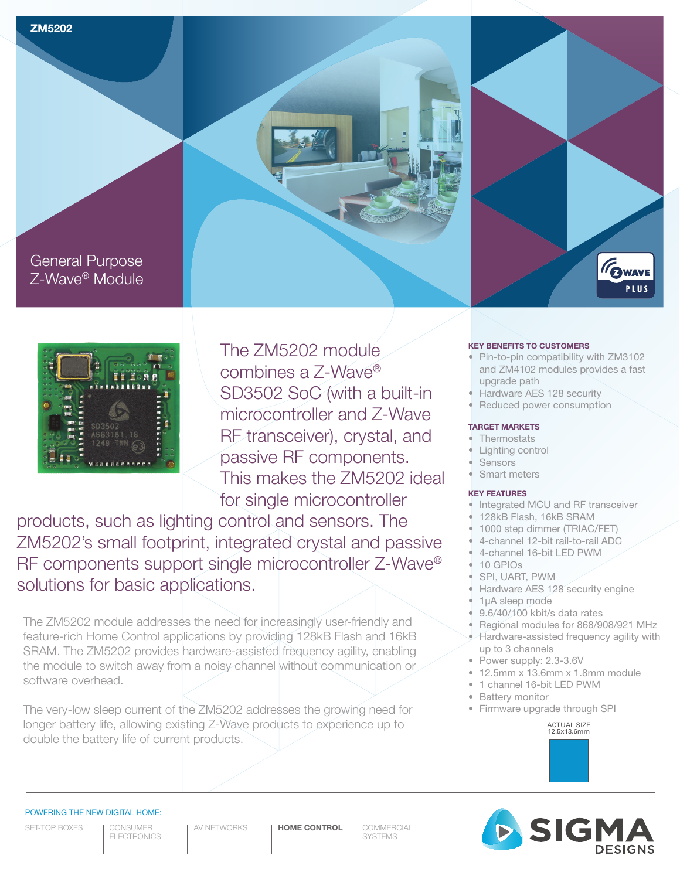



## General Purpose Z-Wave® Module



The ZM5202 module combines a Z-Wave® SD3502 SoC (with a built-in microcontroller and Z-Wave RF transceiver), crystal, and passive RF components. This makes the ZM5202 ideal for single microcontroller

products, such as lighting control and sensors. The ZM5202's small footprint, integrated crystal and passive RF components support single microcontroller Z-Wave® solutions for basic applications.

The ZM5202 module addresses the need for increasingly user-friendly and feature-rich Home Control applications by providing 128kB Flash and 16kB SRAM. The ZM5202 provides hardware-assisted frequency agility, enabling the module to switch away from a noisy channel without communication or software overhead.

The very-low sleep current of the ZM5202 addresses the growing need for longer battery life, allowing existing Z-Wave products to experience up to double the battery life of current products.

### **KEY BENEFITS TO CUSTOMERS**

• Pin-to-pin compatibility with ZM3102 and ZM4102 modules provides a fast upgrade path

GWAVE **PLUS** 

- Hardware AES 128 security
- Reduced power consumption

#### **TARGET MARKETS**

- **Thermostats**
- Lighting control
- **Sensors**
- Smart meters

## **KEY FEATURES**

- Integrated MCU and RF transceiver
- 128kB Flash, 16kB SRAM
- 1000 step dimmer (TRIAC/FET)
- 4-channel 12-bit rail-to-rail ADC
- 4-channel 16-bit LED PWM
- 10 GPIOs
- SPI, UART, PWM
- Hardware AES 128 security engine
- 1µA sleep mode
- 9.6/40/100 kbit/s data rates
- Regional modules for 868/908/921 MHz
- Hardware-assisted frequency agility with up to 3 channels
- Power supply: 2.3-3.6V
- 12.5mm x 13.6mm x 1.8mm module
- 1 channel 16-bit LED PWM
- **Battery monitor**
- Firmware upgrade through SPI

ACTUAL SIZE 12.5x13.6mm



## POWERING THE NEW DIGITAL HOME:

SET-TOP BOXES

CONSUMER **ELECTRONICS** 

AV NETWORKS | **HOME CONTROL** | COMMERCIAL

**SYSTEMS**